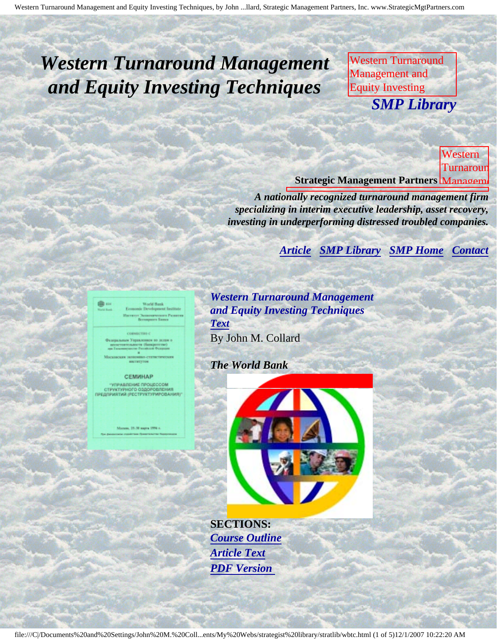# <span id="page-0-4"></span><span id="page-0-3"></span>*Western Turnaround Management and Equity Investing Techniques*

Western Turnaround Management and Equity Investing **SMP Librar** M. Collard, Strategic *SMP Library*

Management Partners, Inc., published by The

**Techniques, Career** 

Management

M.

Collaboration Strategic

Partners, and

published by The World Bank

World Bank **Strategic Management Partners** Management Western Turnaroun

**A** nationally recognized turnaround management firm *specializing in interim executive leadership, asset recovery, investing in underperforming distressed troubled companies.* 

> **Contact [Article](#page-0-0) [SMP Library](http://members.aol.com/stratlib3/libindx.html) [SMP Home](http://members.aol.com/strategist/home.html#TOP)**

Inc., published by The World Bank

<span id="page-0-0"></span>

СЕМИНАР

<span id="page-0-2"></span>структурного оздоровле

<span id="page-0-1"></span>

*Western Turnaround Management and Equity Investing Techniques [Text](#page-0-1)*

By John M. Collard

*The World Bank*

į

j



**SECTIONS:** *[Course Outline](#page-2-0) [Article Text](#page-0-1) [PDF Version](http://members.aol.com/stratlib/wb-train.pdf)*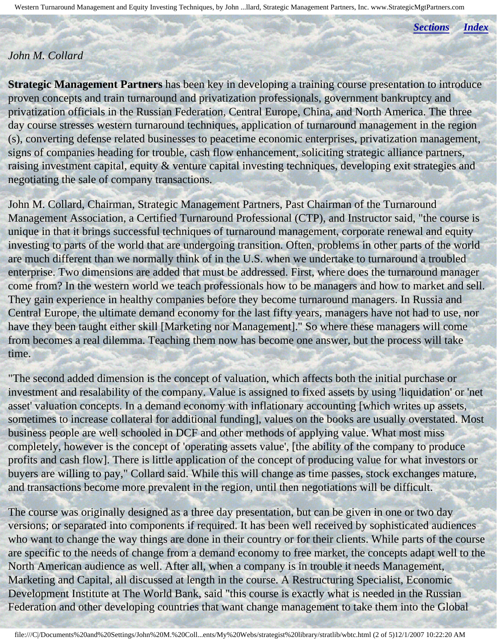Western Turnaround Management and Equity Investing Techniques, by John ...llard, Strategic Management Partners, Inc. www.StrategicMgtPartners.com

*[Sections](#page-0-2) [Index](#page-0-3)*

#### *John M. Collard*

**Strategic Management Partners** has been key in developing a training course presentation to introduce proven concepts and train turnaround and privatization professionals, government bankruptcy and privatization officials in the Russian Federation, Central Europe, China, and North America. The three day course stresses western turnaround techniques, application of turnaround management in the region (s), converting defense related businesses to peacetime economic enterprises, privatization management, signs of companies heading for trouble, cash flow enhancement, soliciting strategic alliance partners, raising investment capital, equity & venture capital investing techniques, developing exit strategies and negotiating the sale of company transactions.

John M. Collard, Chairman, Strategic Management Partners, Past Chairman of the Turnaround Management Association, a Certified Turnaround Professional (CTP), and Instructor said, "the course is unique in that it brings successful techniques of turnaround management, corporate renewal and equity investing to parts of the world that are undergoing transition. Often, problems in other parts of the world are much different than we normally think of in the U.S. when we undertake to turnaround a troubled enterprise. Two dimensions are added that must be addressed. First, where does the turnaround manager come from? In the western world we teach professionals how to be managers and how to market and sell. They gain experience in healthy companies before they become turnaround managers. In Russia and Central Europe, the ultimate demand economy for the last fifty years, managers have not had to use, nor have they been taught either skill [Marketing nor Management]." So where these managers will come from becomes a real dilemma. Teaching them now has become one answer, but the process will take time.

"The second added dimension is the concept of valuation, which affects both the initial purchase or investment and resalability of the company. Value is assigned to fixed assets by using 'liquidation' or 'net asset' valuation concepts. In a demand economy with inflationary accounting [which writes up assets, sometimes to increase collateral for additional funding], values on the books are usually overstated. Most business people are well schooled in DCF and other methods of applying value. What most miss completely, however is the concept of 'operating assets value', [the ability of the company to produce profits and cash flow]. There is little application of the concept of producing value for what investors or buyers are willing to pay," Collard said. While this will change as time passes, stock exchanges mature, and transactions become more prevalent in the region, until then negotiations will be difficult.

The course was originally designed as a three day presentation, but can be given in one or two day versions; or separated into components if required. It has been well received by sophisticated audiences who want to change the way things are done in their country or for their clients. While parts of the course are specific to the needs of change from a demand economy to free market, the concepts adapt well to the North American audience as well. After all, when a company is in trouble it needs Management, Marketing and Capital, all discussed at length in the course. A Restructuring Specialist, Economic Development Institute at The World Bank, said "this course is exactly what is needed in the Russian Federation and other developing countries that want change management to take them into the Global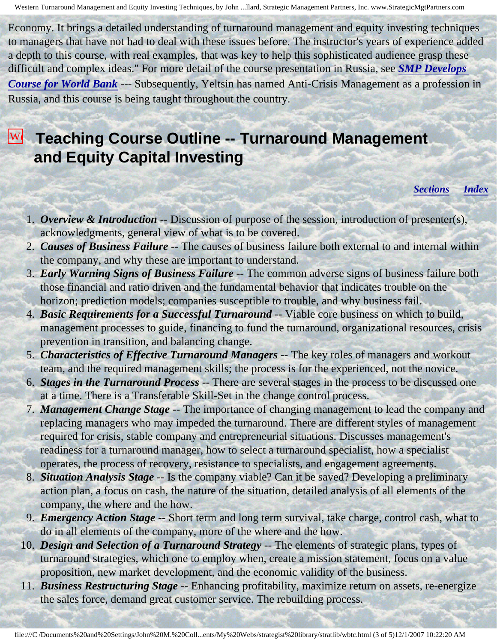Economy. It brings a detailed understanding of turnaround management and equity investing techniques to managers that have not had to deal with these issues before. The instructor's years of experience added a depth to this course, with real examples, that was key to help this sophisticated audience grasp these difficult and complex ideas." For more detail of the course presentation in Russia, see *[SMP Develops](http://members.aol.com/strategist/prwb.html)  [Course for World Bank](http://members.aol.com/strategist/prwb.html)* --- Subsequently, Yeltsin has named Anti-Crisis Management as a profession in Russia, and this course is being taught throughout the country.

### <span id="page-2-0"></span>Westerland Course Outline -- Turnaround Management  $\overline{\mathbf{r}}$ **and Equity Capital Investing**

Equity Investing

by

#### *[Sections](#page-0-2) [Index](#page-0-3)*

- 1. *Overview & Introduction* -- Discussion of purpose of the session, introduction of presenter(s), acknowledgments, general view of what is to be covered.
- 2. *Causes of Business Failure* -- The causes of business failure both external to and internal within the company, and why these are important to understand.
- 3. *Early Warning Signs of Business Failure* -- The common adverse signs of business failure both those financial and ratio driven and the fundamental behavior that indicates trouble on the horizon; prediction models; companies susceptible to trouble, and why business fail.
- 4. *Basic Requirements for a Successful Turnaround* -- Viable core business on which to build, prevention in transition, and balancing change. management processes to guide, financing to fund the turnaround, organizational resources, crisis
- The 5. *Characteristics of Effective Turnaround Managers* -- The key roles of managers and workout team, and the required management skills; the process is for the experienced, not the novice.
- 6. *Stages in the Turnaround Process* -- There are several stages in the process to be discussed one Bank at a time. There is a Transferable Skill-Set in the change control process.
	- 7. *Management Change Stage* -- The importance of changing management to lead the company and replacing managers who may impeded the turnaround. There are different styles of management required for crisis, stable company and entrepreneurial situations. Discusses management's readiness for a turnaround manager, how to select a turnaround specialist, how a specialist operates, the process of recovery, resistance to specialists, and engagement agreements.
	- 8. *Situation Analysis Stage* -- Is the company viable? Can it be saved? Developing a preliminary action plan, a focus on cash, the nature of the situation, detailed analysis of all elements of the company, the where and the how.
	- 9. *Emergency Action Stage* -- Short term and long term survival, take charge, control cash, what to do in all elements of the company, more of the where and the how.
	- 10. *Design and Selection of a Turnaround Strategy* -- The elements of strategic plans, types of turnaround strategies, which one to employ when, create a mission statement, focus on a value proposition, new market development, and the economic validity of the business.
	- 11. *Business Restructuring Stage* -- Enhancing profitability, maximize return on assets, re-energize the sales force, demand great customer service. The rebuilding process.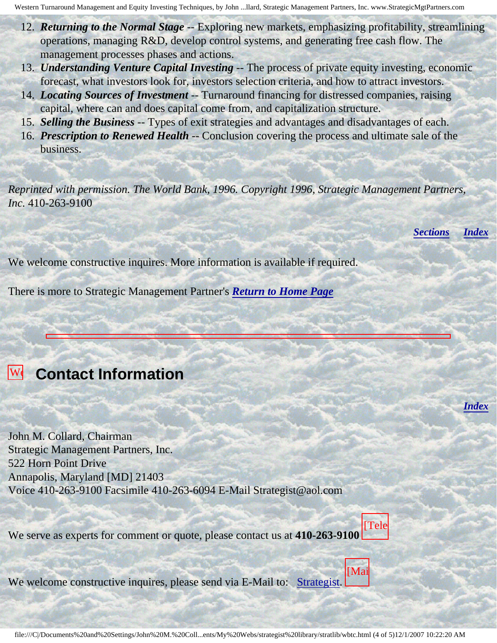Western Turnaround Management and Equity Investing Techniques, by John ...llard, Strategic Management Partners, Inc. www.StrategicMgtPartners.com

- 12. *Returning to the Normal Stage* -- Exploring new markets, emphasizing profitability, streamlining operations, managing R&D, develop control systems, and generating free cash flow. The management processes phases and actions.
- 13. *Understanding Venture Capital Investing* -- The process of private equity investing, economic forecast, what investors look for, investors selection criteria, and how to attract investors.
- 14. *Locating Sources of Investment* -- Turnaround financing for distressed companies, raising capital, where can and does capital come from, and capitalization structure.
- 15. *Selling the Business* -- Types of exit strategies and advantages and disadvantages of each.
- 16. *Prescription to Renewed Health* -- Conclusion covering the process and ultimate sale of the business.

*Reprinted with permission. The World Bank, 1996. Copyright 1996, Strategic Management Partners, Inc.* 410-263-9100

*[Sections](#page-0-2) [Index](#page-0-3)*

*[Index](#page-0-3)*

We welcome constructive inquires. More information is available if required.

There is more to Strategic Management Partner's *[Return to Home Page](http://members.aol.com/strategist/home.html#TOP)*

## **We Contact Information** Turnaround

<span id="page-3-0"></span>Management

and

Collard, Strategic

Partners,

Inc.,

The

Equity John M. Collard, Chairman Strategic Management Partners, Inc. 522 Horn Point Drive Annapolis, Maryland [MD] 21403 M. Voice 410-263-9100 Facsimile 410-263-6094 E-Mail Strategist@aol.com

We serve as experts for comment or quote, please contact us at **410-263-9100** [Tele

 $W_0$  welcom by We welcome constructive inquires, please send via E-Mail to: [Strategist.](mailto:Strategist@aol.com (library wbtc))